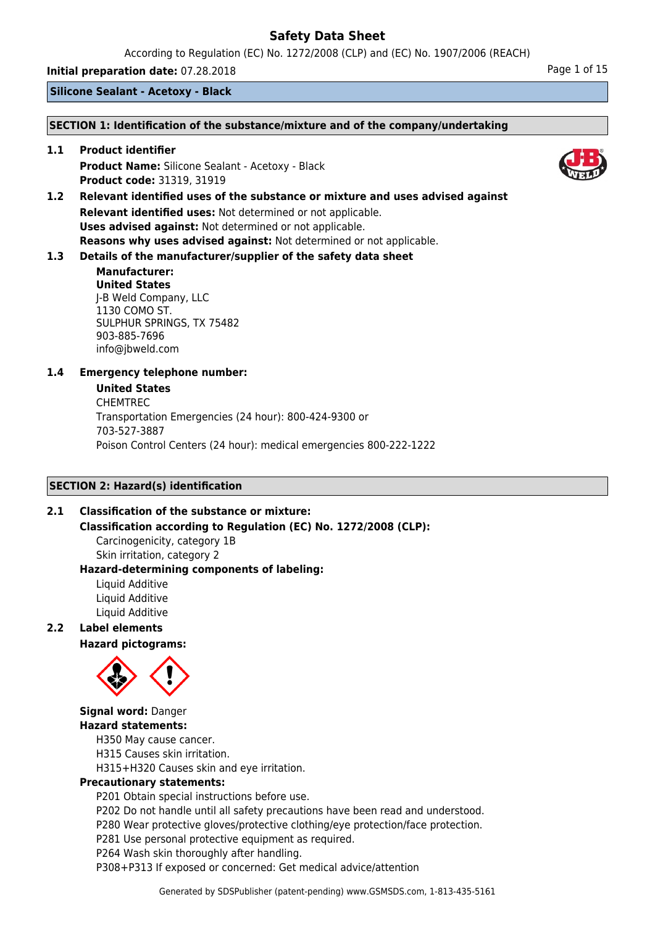According to Regulation (EC) No. 1272/2008 (CLP) and (EC) No. 1907/2006 (REACH)

**Initial preparation date:** 07.28.2018 **Page 1 of 15** 

**Silicone Sealant - Acetoxy - Black**

## **SECTION 1: Identification of the substance/mixture and of the company/undertaking**

**1.1 Product identifier Product Name:** Silicone Sealant - Acetoxy - Black **Product code:** 31319, 31919

**1.2 Relevant identified uses of the substance or mixture and uses advised against Relevant identified uses:** Not determined or not applicable. **Uses advised against:** Not determined or not applicable. **Reasons why uses advised against:** Not determined or not applicable.

# **1.3 Details of the manufacturer/supplier of the safety data sheet**

## **Manufacturer: United States** J-B Weld Company, LLC 1130 COMO ST. SULPHUR SPRINGS, TX 75482 903-885-7696 info@jbweld.com

# **1.4 Emergency telephone number:**

## **United States**

CHEMTREC Transportation Emergencies (24 hour): 800-424-9300 or 703-527-3887 Poison Control Centers (24 hour): medical emergencies 800-222-1222

# **SECTION 2: Hazard(s) identification**

# **2.1 Classification of the substance or mixture:**

**Classification according to Regulation (EC) No. 1272/2008 (CLP):**

Carcinogenicity, category 1B Skin irritation, category 2

#### **Hazard-determining components of labeling:** Liquid Additive

Liquid Additive Liquid Additive

# **2.2 Label elements**

**Hazard pictograms:**



# **Signal word:** Danger **Hazard statements:**

H350 May cause cancer.

H315 Causes skin irritation.

H315+H320 Causes skin and eye irritation.

# **Precautionary statements:**

P201 Obtain special instructions before use.

P202 Do not handle until all safety precautions have been read and understood.

P280 Wear protective gloves/protective clothing/eye protection/face protection.

P281 Use personal protective equipment as required.

P264 Wash skin thoroughly after handling.

P308+P313 If exposed or concerned: Get medical advice/attention

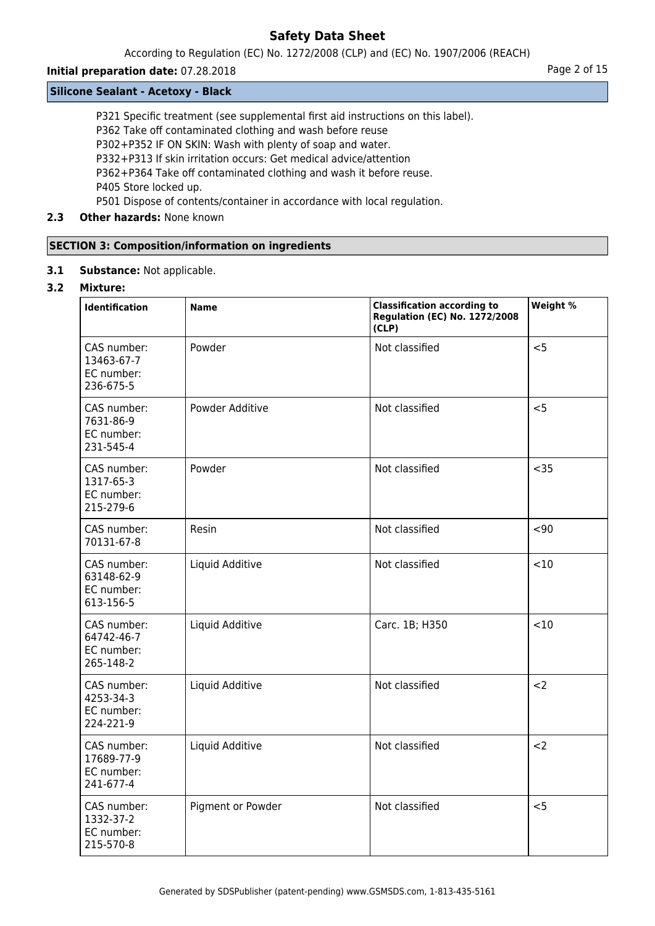According to Regulation (EC) No. 1272/2008 (CLP) and (EC) No. 1907/2006 (REACH)

# **Initial preparation date:** 07.28.2018 **Page 2 of 15**

## **Silicone Sealant - Acetoxy - Black**

P321 Specific treatment (see supplemental first aid instructions on this label).

P362 Take off contaminated clothing and wash before reuse

P302+P352 IF ON SKIN: Wash with plenty of soap and water.

P332+P313 If skin irritation occurs: Get medical advice/attention

P362+P364 Take off contaminated clothing and wash it before reuse.

P405 Store locked up.

P501 Dispose of contents/container in accordance with local regulation.

# **2.3 Other hazards:** None known

# **SECTION 3: Composition/information on ingredients**

**3.1 Substance:** Not applicable.

# **3.2 Mixture:**

| <b>Identification</b>                                | <b>Name</b>       | <b>Classification according to</b><br><b>Regulation (EC) No. 1272/2008</b><br>(CLP) | Weight % |
|------------------------------------------------------|-------------------|-------------------------------------------------------------------------------------|----------|
| CAS number:<br>13463-67-7<br>EC number:<br>236-675-5 | Powder            | Not classified                                                                      | < 5      |
| CAS number:<br>7631-86-9<br>EC number:<br>231-545-4  | Powder Additive   | Not classified                                                                      | < 5      |
| CAS number:<br>1317-65-3<br>EC number:<br>215-279-6  | Powder            | Not classified                                                                      | $35$     |
| CAS number:<br>70131-67-8                            | Resin             | Not classified                                                                      | $90$     |
| CAS number:<br>63148-62-9<br>EC number:<br>613-156-5 | Liquid Additive   | Not classified                                                                      | <10      |
| CAS number:<br>64742-46-7<br>EC number:<br>265-148-2 | Liquid Additive   | Carc. 1B; H350                                                                      | < 10     |
| CAS number:<br>4253-34-3<br>EC number:<br>224-221-9  | Liquid Additive   | Not classified                                                                      | $2$      |
| CAS number:<br>17689-77-9<br>EC number:<br>241-677-4 | Liquid Additive   | Not classified                                                                      | $2$      |
| CAS number:<br>1332-37-2<br>EC number:<br>215-570-8  | Pigment or Powder | Not classified                                                                      | < 5      |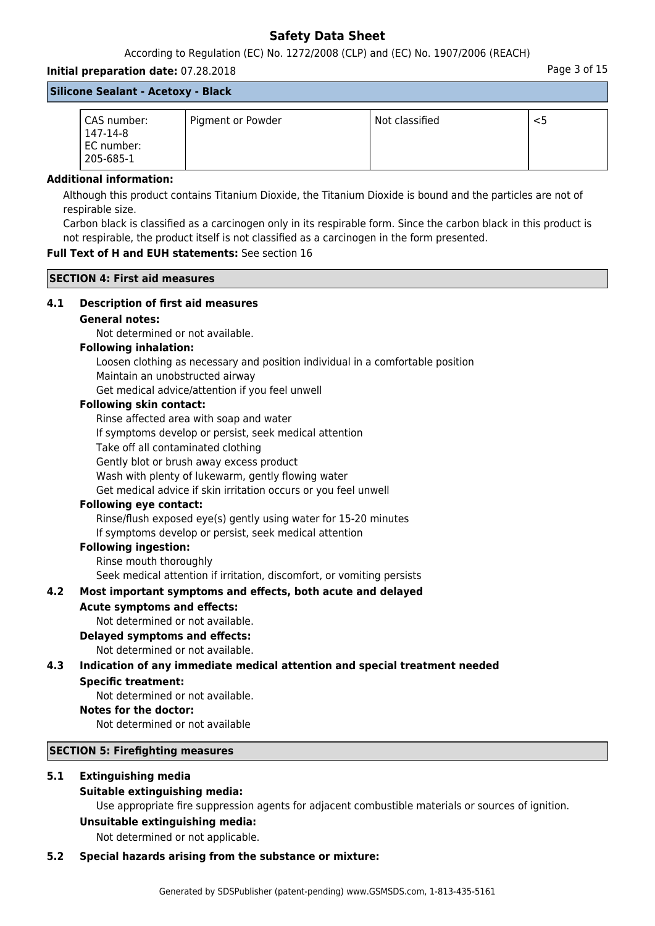According to Regulation (EC) No. 1272/2008 (CLP) and (EC) No. 1907/2006 (REACH)

# **Initial preparation date:** 07.28.2018 **Page 3 of 15** and the page 3 of 15 **Silicone Sealant - Acetoxy - Black**

| CAS number:<br>147-14-8<br>EC number:<br>205-685-1 | Pigment or Powder | Not classified |  |
|----------------------------------------------------|-------------------|----------------|--|

## **Additional information:**

Although this product contains Titanium Dioxide, the Titanium Dioxide is bound and the particles are not of respirable size.

Carbon black is classified as a carcinogen only in its respirable form. Since the carbon black in this product is not respirable, the product itself is not classified as a carcinogen in the form presented.

# **Full Text of H and EUH statements:** See section 16

**SECTION 4: First aid measures**

## **4.1 Description of first aid measures**

## **General notes:**

Not determined or not available.

### **Following inhalation:**

Loosen clothing as necessary and position individual in a comfortable position Maintain an unobstructed airway

Get medical advice/attention if you feel unwell

# **Following skin contact:**

Rinse affected area with soap and water

If symptoms develop or persist, seek medical attention

Take off all contaminated clothing

Gently blot or brush away excess product

Wash with plenty of lukewarm, gently flowing water

Get medical advice if skin irritation occurs or you feel unwell

## **Following eye contact:**

Rinse/flush exposed eye(s) gently using water for 15-20 minutes If symptoms develop or persist, seek medical attention

# **Following ingestion:**

Rinse mouth thoroughly

Seek medical attention if irritation, discomfort, or vomiting persists

# **4.2 Most important symptoms and effects, both acute and delayed**

## **Acute symptoms and effects:**

Not determined or not available.

### **Delayed symptoms and effects:**

Not determined or not available.

# **4.3 Indication of any immediate medical attention and special treatment needed**

## **Specific treatment:**

Not determined or not available.

## **Notes for the doctor:**

Not determined or not available

### **SECTION 5: Firefighting measures**

# **5.1 Extinguishing media**

# **Suitable extinguishing media:**

Use appropriate fire suppression agents for adjacent combustible materials or sources of ignition.

### **Unsuitable extinguishing media:**

Not determined or not applicable.

### **5.2 Special hazards arising from the substance or mixture:**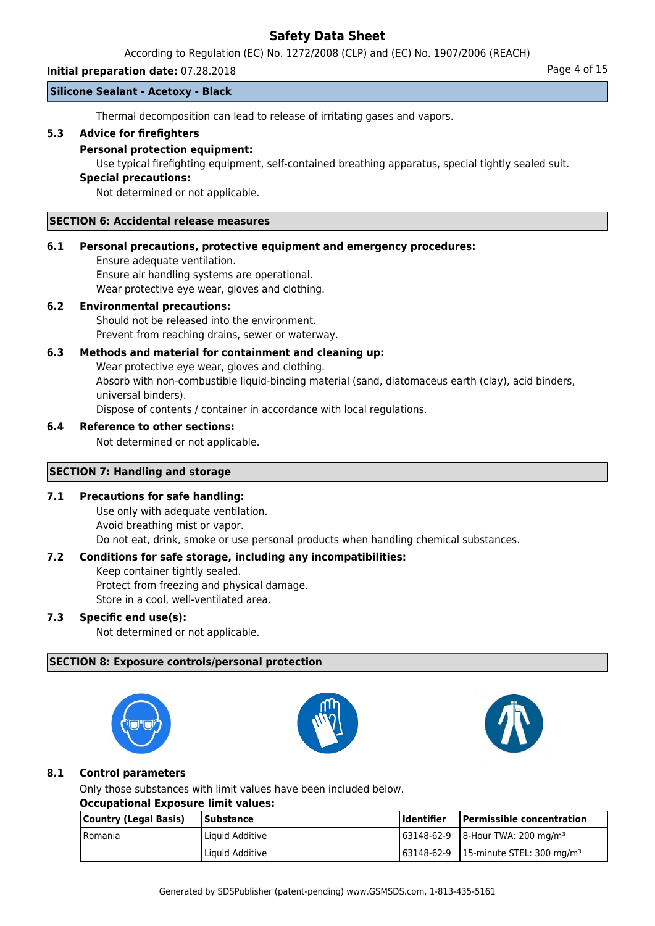According to Regulation (EC) No. 1272/2008 (CLP) and (EC) No. 1907/2006 (REACH)

## **Initial preparation date:** 07.28.2018 **Page 4 of 15**

## **Silicone Sealant - Acetoxy - Black**

Thermal decomposition can lead to release of irritating gases and vapors.

## **5.3 Advice for firefighters**

## **Personal protection equipment:**

Use typical firefighting equipment, self-contained breathing apparatus, special tightly sealed suit.

## **Special precautions:**

Not determined or not applicable.

### **SECTION 6: Accidental release measures**

## **6.1 Personal precautions, protective equipment and emergency procedures:**

Ensure adequate ventilation. Ensure air handling systems are operational. Wear protective eye wear, gloves and clothing.

## **6.2 Environmental precautions:**

Should not be released into the environment. Prevent from reaching drains, sewer or waterway.

# **6.3 Methods and material for containment and cleaning up:**

Wear protective eye wear, gloves and clothing. Absorb with non-combustible liquid-binding material (sand, diatomaceus earth (clay), acid binders, universal binders). Dispose of contents / container in accordance with local regulations.

## **6.4 Reference to other sections:**

Not determined or not applicable.

## **SECTION 7: Handling and storage**

# **7.1 Precautions for safe handling:**

Use only with adequate ventilation. Avoid breathing mist or vapor. Do not eat, drink, smoke or use personal products when handling chemical substances.

# **7.2 Conditions for safe storage, including any incompatibilities:**

Keep container tightly sealed. Protect from freezing and physical damage.

Store in a cool, well-ventilated area.

# **7.3 Specific end use(s):**

Not determined or not applicable.

# **SECTION 8: Exposure controls/personal protection**







# **8.1 Control parameters**

Only those substances with limit values have been included below.

## **Occupational Exposure limit values:**

| Country (Legal Basis) | <b>Substance</b> | l Identifier | <b>Permissible concentration</b>                 |
|-----------------------|------------------|--------------|--------------------------------------------------|
| l Romania             | Liquid Additive  |              | $163148-62-9$ 8-Hour TWA: 200 mg/m <sup>3</sup>  |
|                       | Liquid Additive  |              | 63148-62-9 15-minute STEL: 300 mg/m <sup>3</sup> |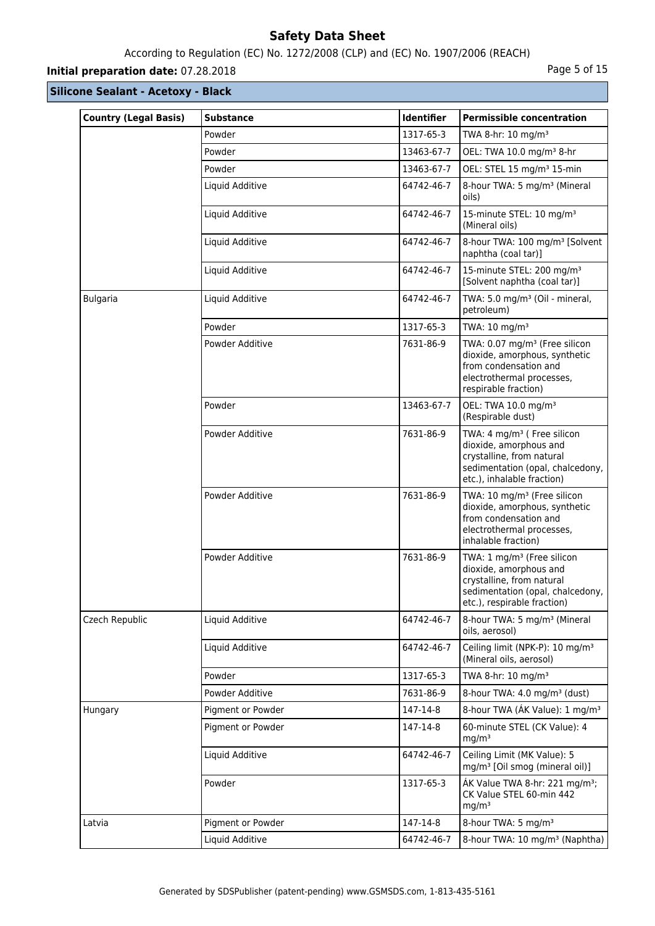# According to Regulation (EC) No. 1272/2008 (CLP) and (EC) No. 1907/2006 (REACH)

# **Initial preparation date:** 07.28.2018 **Page 1 and 2018** Page 5 of 15

| <b>Country (Legal Basis)</b> | <b>Substance</b>  | Identifier | <b>Permissible concentration</b>                                                                                                                                 |
|------------------------------|-------------------|------------|------------------------------------------------------------------------------------------------------------------------------------------------------------------|
|                              | Powder            | 1317-65-3  | TWA 8-hr: 10 mg/m <sup>3</sup>                                                                                                                                   |
|                              | Powder            | 13463-67-7 | OEL: TWA 10.0 mg/m <sup>3</sup> 8-hr                                                                                                                             |
|                              | Powder            | 13463-67-7 | OEL: STEL 15 mg/m <sup>3</sup> 15-min                                                                                                                            |
|                              | Liquid Additive   | 64742-46-7 | 8-hour TWA: 5 mg/m <sup>3</sup> (Mineral<br>oils)                                                                                                                |
|                              | Liquid Additive   | 64742-46-7 | 15-minute STEL: 10 mg/m <sup>3</sup><br>(Mineral oils)                                                                                                           |
|                              | Liquid Additive   | 64742-46-7 | 8-hour TWA: 100 mg/m <sup>3</sup> [Solvent<br>naphtha (coal tar)]                                                                                                |
|                              | Liquid Additive   | 64742-46-7 | 15-minute STEL: 200 mg/m <sup>3</sup><br>[Solvent naphtha (coal tar)]                                                                                            |
| <b>Bulgaria</b>              | Liquid Additive   | 64742-46-7 | TWA: 5.0 mg/m <sup>3</sup> (Oil - mineral,<br>petroleum)                                                                                                         |
|                              | Powder            | 1317-65-3  | TWA: 10 mg/m <sup>3</sup>                                                                                                                                        |
|                              | Powder Additive   | 7631-86-9  | TWA: 0.07 mg/m <sup>3</sup> (Free silicon<br>dioxide, amorphous, synthetic<br>from condensation and<br>electrothermal processes,<br>respirable fraction)         |
|                              | Powder            | 13463-67-7 | OEL: TWA 10.0 mg/m <sup>3</sup><br>(Respirable dust)                                                                                                             |
|                              | Powder Additive   | 7631-86-9  | TWA: 4 mg/m <sup>3</sup> ( Free silicon<br>dioxide, amorphous and<br>crystalline, from natural<br>sedimentation (opal, chalcedony,<br>etc.), inhalable fraction) |
|                              | Powder Additive   | 7631-86-9  | TWA: 10 mg/m <sup>3</sup> (Free silicon<br>dioxide, amorphous, synthetic<br>from condensation and<br>electrothermal processes,<br>inhalable fraction)            |
|                              | Powder Additive   | 7631-86-9  | TWA: 1 mg/m <sup>3</sup> (Free silicon<br>dioxide, amorphous and<br>crystalline, from natural<br>sedimentation (opal, chalcedony,<br>etc.), respirable fraction) |
| Czech Republic               | Liquid Additive   | 64742-46-7 | 8-hour TWA: 5 mg/m <sup>3</sup> (Mineral<br>oils, aerosol)                                                                                                       |
|                              | Liquid Additive   | 64742-46-7 | Ceiling limit (NPK-P): 10 mg/m <sup>3</sup><br>(Mineral oils, aerosol)                                                                                           |
|                              | Powder            | 1317-65-3  | TWA 8-hr: 10 mg/m <sup>3</sup>                                                                                                                                   |
|                              | Powder Additive   | 7631-86-9  | 8-hour TWA: 4.0 mg/m <sup>3</sup> (dust)                                                                                                                         |
| Hungary                      | Pigment or Powder | 147-14-8   | 8-hour TWA (AK Value): 1 mg/m <sup>3</sup>                                                                                                                       |
|                              | Pigment or Powder | 147-14-8   | 60-minute STEL (CK Value): 4<br>mg/m <sup>3</sup>                                                                                                                |
|                              | Liquid Additive   | 64742-46-7 | Ceiling Limit (MK Value): 5<br>mg/m <sup>3</sup> [Oil smog (mineral oil)]                                                                                        |
|                              | Powder            | 1317-65-3  | ÁK Value TWA 8-hr: 221 mg/m <sup>3</sup> ;<br>CK Value STEL 60-min 442<br>mg/m <sup>3</sup>                                                                      |
| Latvia                       | Pigment or Powder | 147-14-8   | 8-hour TWA: 5 mg/m <sup>3</sup>                                                                                                                                  |
|                              | Liquid Additive   | 64742-46-7 | 8-hour TWA: 10 mg/m <sup>3</sup> (Naphtha)                                                                                                                       |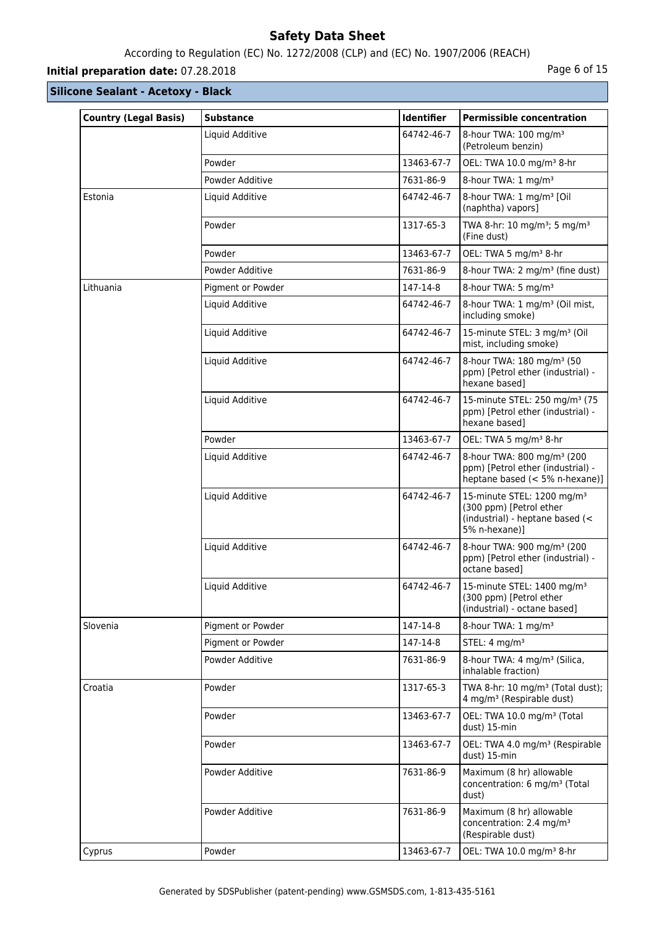# According to Regulation (EC) No. 1272/2008 (CLP) and (EC) No. 1907/2006 (REACH)

# **Initial preparation date:** 07.28.2018 **Page 6 of 15**

| <b>Country (Legal Basis)</b> | <b>Substance</b>  | <b>Identifier</b> | <b>Permissible concentration</b>                                                                                      |
|------------------------------|-------------------|-------------------|-----------------------------------------------------------------------------------------------------------------------|
|                              | Liquid Additive   | 64742-46-7        | 8-hour TWA: 100 mg/m <sup>3</sup><br>(Petroleum benzin)                                                               |
|                              | Powder            | 13463-67-7        | OEL: TWA 10.0 mg/m <sup>3</sup> 8-hr                                                                                  |
|                              | Powder Additive   | 7631-86-9         | 8-hour TWA: 1 mg/m <sup>3</sup>                                                                                       |
| Estonia                      | Liquid Additive   | 64742-46-7        | 8-hour TWA: 1 mg/m <sup>3</sup> [Oil<br>(naphtha) vapors]                                                             |
|                              | Powder            | 1317-65-3         | TWA 8-hr: 10 mg/m <sup>3</sup> ; 5 mg/m <sup>3</sup><br>(Fine dust)                                                   |
|                              | Powder            | 13463-67-7        | OEL: TWA 5 mg/m <sup>3</sup> 8-hr                                                                                     |
|                              | Powder Additive   | 7631-86-9         | 8-hour TWA: 2 mg/m <sup>3</sup> (fine dust)                                                                           |
| Lithuania                    | Pigment or Powder | 147-14-8          | 8-hour TWA: 5 mg/m <sup>3</sup>                                                                                       |
|                              | Liquid Additive   | 64742-46-7        | 8-hour TWA: 1 mg/m <sup>3</sup> (Oil mist,<br>including smoke)                                                        |
|                              | Liquid Additive   | 64742-46-7        | 15-minute STEL: 3 mg/m <sup>3</sup> (Oil<br>mist, including smoke)                                                    |
|                              | Liquid Additive   | 64742-46-7        | 8-hour TWA: 180 mg/m <sup>3</sup> (50<br>ppm) [Petrol ether (industrial) -<br>hexane based]                           |
|                              | Liquid Additive   | 64742-46-7        | 15-minute STEL: 250 mg/m <sup>3</sup> (75<br>ppm) [Petrol ether (industrial) -<br>hexane based]                       |
|                              | Powder            | 13463-67-7        | OEL: TWA 5 mg/m <sup>3</sup> 8-hr                                                                                     |
|                              | Liquid Additive   | 64742-46-7        | 8-hour TWA: 800 mg/m <sup>3</sup> (200<br>ppm) [Petrol ether (industrial) -<br>heptane based (< 5% n-hexane)]         |
|                              | Liquid Additive   | 64742-46-7        | 15-minute STEL: 1200 mg/m <sup>3</sup><br>(300 ppm) [Petrol ether<br>(industrial) - heptane based (<<br>5% n-hexane)] |
|                              | Liquid Additive   | 64742-46-7        | 8-hour TWA: 900 mg/m <sup>3</sup> (200<br>ppm) [Petrol ether (industrial) -<br>octane based]                          |
|                              | Liquid Additive   | 64742-46-7        | 15-minute STEL: 1400 mg/m <sup>3</sup><br>(300 ppm) [Petrol ether<br>(industrial) - octane based]                     |
| Slovenia                     | Pigment or Powder | 147-14-8          | 8-hour TWA: 1 mg/m <sup>3</sup>                                                                                       |
|                              | Pigment or Powder | 147-14-8          | STEL: 4 mg/m <sup>3</sup>                                                                                             |
|                              | Powder Additive   | 7631-86-9         | 8-hour TWA: 4 mg/m <sup>3</sup> (Silica,<br>inhalable fraction)                                                       |
| Croatia                      | Powder            | 1317-65-3         | TWA 8-hr: 10 mg/m <sup>3</sup> (Total dust);<br>4 mg/m <sup>3</sup> (Respirable dust)                                 |
|                              | Powder            | 13463-67-7        | OEL: TWA 10.0 mg/m <sup>3</sup> (Total<br>dust) 15-min                                                                |
|                              | Powder            | 13463-67-7        | OEL: TWA 4.0 mg/m <sup>3</sup> (Respirable<br>dust) 15-min                                                            |
|                              | Powder Additive   | 7631-86-9         | Maximum (8 hr) allowable<br>concentration: 6 mg/m <sup>3</sup> (Total<br>dust)                                        |
|                              | Powder Additive   | 7631-86-9         | Maximum (8 hr) allowable<br>concentration: 2.4 mg/m <sup>3</sup><br>(Respirable dust)                                 |
| Cyprus                       | Powder            | 13463-67-7        | OEL: TWA 10.0 mg/m <sup>3</sup> 8-hr                                                                                  |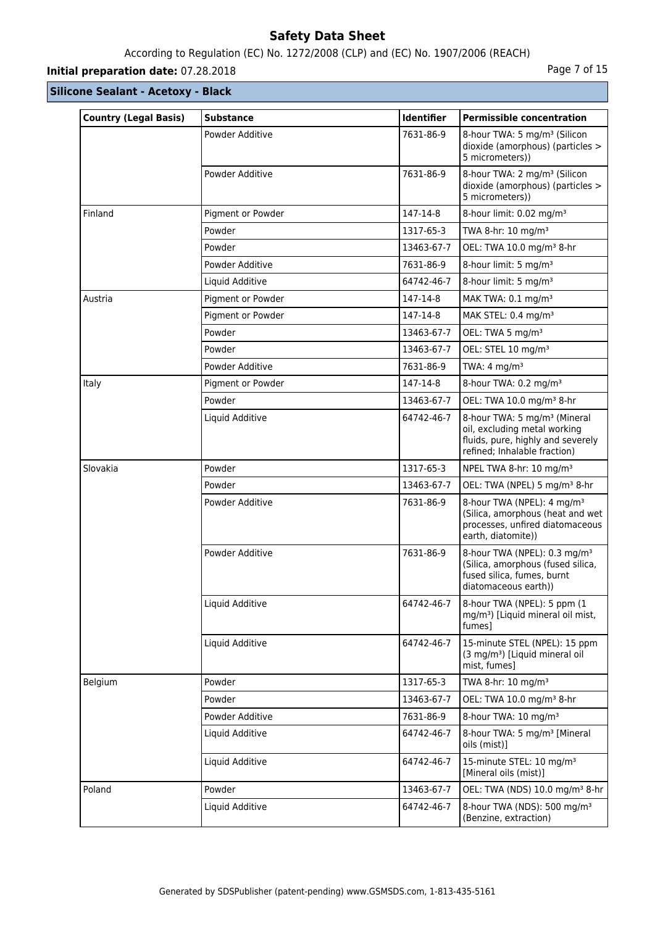# According to Regulation (EC) No. 1272/2008 (CLP) and (EC) No. 1907/2006 (REACH)

# **Initial preparation date:** 07.28.2018 **Page 7 of 15**

| <b>Country (Legal Basis)</b> | <b>Substance</b>  | Identifier | <b>Permissible concentration</b>                                                                                                              |
|------------------------------|-------------------|------------|-----------------------------------------------------------------------------------------------------------------------------------------------|
|                              | Powder Additive   | 7631-86-9  | 8-hour TWA: 5 mg/m <sup>3</sup> (Silicon<br>dioxide (amorphous) (particles ><br>5 micrometers))                                               |
|                              | Powder Additive   | 7631-86-9  | 8-hour TWA: 2 mg/m <sup>3</sup> (Silicon<br>dioxide (amorphous) (particles ><br>5 micrometers))                                               |
| Finland                      | Pigment or Powder | 147-14-8   | 8-hour limit: 0.02 mg/m <sup>3</sup>                                                                                                          |
|                              | Powder            | 1317-65-3  | TWA 8-hr: 10 mg/m <sup>3</sup>                                                                                                                |
|                              | Powder            | 13463-67-7 | OEL: TWA 10.0 mg/m <sup>3</sup> 8-hr                                                                                                          |
|                              | Powder Additive   | 7631-86-9  | 8-hour limit: 5 mg/m <sup>3</sup>                                                                                                             |
|                              | Liquid Additive   | 64742-46-7 | 8-hour limit: 5 mg/m <sup>3</sup>                                                                                                             |
| Austria                      | Pigment or Powder | 147-14-8   | MAK TWA: 0.1 mg/m <sup>3</sup>                                                                                                                |
|                              | Pigment or Powder | 147-14-8   | MAK STEL: 0.4 mg/m <sup>3</sup>                                                                                                               |
|                              | Powder            | 13463-67-7 | OEL: TWA 5 mg/m <sup>3</sup>                                                                                                                  |
|                              | Powder            | 13463-67-7 | OEL: STEL 10 mg/m <sup>3</sup>                                                                                                                |
|                              | Powder Additive   | 7631-86-9  | TWA: $4 \text{ mg/m}^3$                                                                                                                       |
| Italy                        | Pigment or Powder | 147-14-8   | 8-hour TWA: 0.2 mg/m <sup>3</sup>                                                                                                             |
|                              | Powder            | 13463-67-7 | OEL: TWA 10.0 mg/m <sup>3</sup> 8-hr                                                                                                          |
|                              | Liquid Additive   | 64742-46-7 | 8-hour TWA: 5 mg/m <sup>3</sup> (Mineral<br>oil, excluding metal working<br>fluids, pure, highly and severely<br>refined; Inhalable fraction) |
| Slovakia                     | Powder            | 1317-65-3  | NPEL TWA 8-hr: 10 mg/m <sup>3</sup>                                                                                                           |
|                              | Powder            | 13463-67-7 | OEL: TWA (NPEL) 5 mg/m <sup>3</sup> 8-hr                                                                                                      |
|                              | Powder Additive   | 7631-86-9  | 8-hour TWA (NPEL): 4 mg/m <sup>3</sup><br>(Silica, amorphous (heat and wet<br>processes, unfired diatomaceous<br>earth, diatomite))           |
|                              | Powder Additive   | 7631-86-9  | 8-hour TWA (NPEL): 0.3 mg/m <sup>3</sup><br>(Silica, amorphous (fused silica,<br>fused silica, fumes, burnt<br>diatomaceous earth))           |
|                              | Liquid Additive   | 64742-46-7 | 8-hour TWA (NPEL): 5 ppm (1<br>mg/m <sup>3</sup> ) [Liquid mineral oil mist,<br>fumes]                                                        |
|                              | Liquid Additive   | 64742-46-7 | 15-minute STEL (NPEL): 15 ppm<br>(3 mg/m <sup>3</sup> ) [Liquid mineral oil<br>mist, fumes]                                                   |
| Belgium                      | Powder            | 1317-65-3  | TWA 8-hr: 10 mg/m <sup>3</sup>                                                                                                                |
|                              | Powder            | 13463-67-7 | OEL: TWA 10.0 mg/m <sup>3</sup> 8-hr                                                                                                          |
|                              | Powder Additive   | 7631-86-9  | 8-hour TWA: 10 mg/m <sup>3</sup>                                                                                                              |
|                              | Liquid Additive   | 64742-46-7 | 8-hour TWA: 5 mg/m <sup>3</sup> [Mineral]<br>oils (mist)]                                                                                     |
|                              | Liquid Additive   | 64742-46-7 | 15-minute STEL: 10 mg/m <sup>3</sup><br>[Mineral oils (mist)]                                                                                 |
| Poland                       | Powder            | 13463-67-7 | OEL: TWA (NDS) 10.0 mg/m <sup>3</sup> 8-hr                                                                                                    |
|                              | Liquid Additive   | 64742-46-7 | 8-hour TWA (NDS): 500 mg/m <sup>3</sup><br>(Benzine, extraction)                                                                              |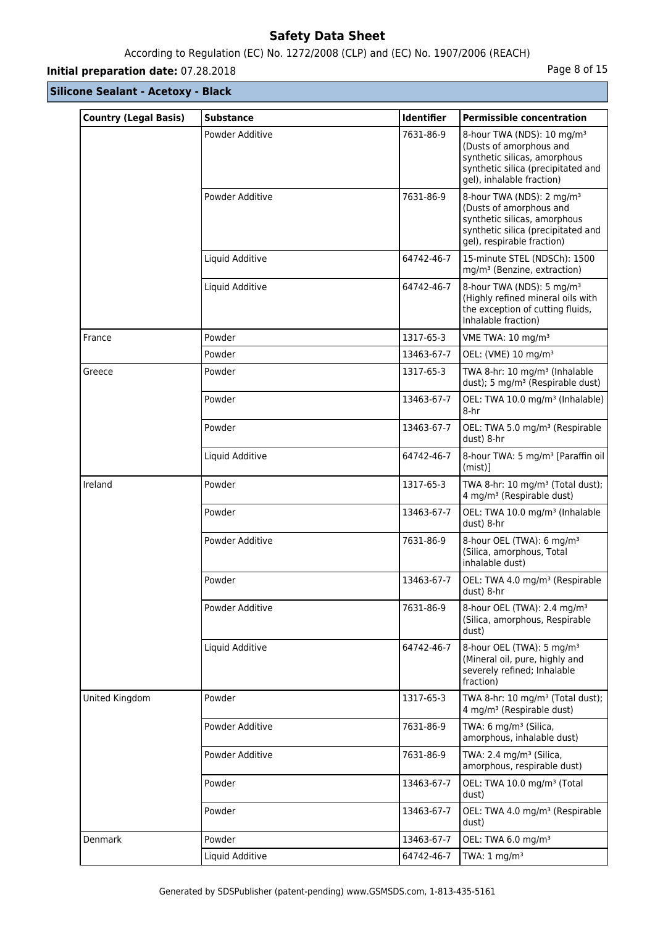# According to Regulation (EC) No. 1272/2008 (CLP) and (EC) No. 1907/2006 (REACH)

# **Initial preparation date:** 07.28.2018 **Page 8 of 15**

| <b>Country (Legal Basis)</b> | <b>Substance</b> | <b>Identifier</b> | <b>Permissible concentration</b>                                                                                                                                     |
|------------------------------|------------------|-------------------|----------------------------------------------------------------------------------------------------------------------------------------------------------------------|
|                              | Powder Additive  | 7631-86-9         | 8-hour TWA (NDS): 10 mg/m <sup>3</sup><br>(Dusts of amorphous and<br>synthetic silicas, amorphous<br>synthetic silica (precipitated and<br>gel), inhalable fraction) |
|                              | Powder Additive  | 7631-86-9         | 8-hour TWA (NDS): 2 mg/m <sup>3</sup><br>(Dusts of amorphous and<br>synthetic silicas, amorphous<br>synthetic silica (precipitated and<br>gel), respirable fraction) |
|                              | Liquid Additive  | 64742-46-7        | 15-minute STEL (NDSCh): 1500<br>mg/m <sup>3</sup> (Benzine, extraction)                                                                                              |
|                              | Liquid Additive  | 64742-46-7        | 8-hour TWA (NDS): 5 mg/m <sup>3</sup><br>(Highly refined mineral oils with<br>the exception of cutting fluids,<br>Inhalable fraction)                                |
| France                       | Powder           | 1317-65-3         | VME TWA: 10 mg/m <sup>3</sup>                                                                                                                                        |
|                              | Powder           | 13463-67-7        | OEL: (VME) 10 mg/m <sup>3</sup>                                                                                                                                      |
| Greece                       | Powder           | 1317-65-3         | TWA 8-hr: 10 mg/m <sup>3</sup> (Inhalable<br>dust); 5 mg/m <sup>3</sup> (Respirable dust)                                                                            |
|                              | Powder           | 13463-67-7        | OEL: TWA 10.0 mg/m <sup>3</sup> (Inhalable)<br>8-hr                                                                                                                  |
|                              | Powder           | 13463-67-7        | OEL: TWA 5.0 mg/m <sup>3</sup> (Respirable<br>dust) 8-hr                                                                                                             |
|                              | Liquid Additive  | 64742-46-7        | 8-hour TWA: 5 mg/m <sup>3</sup> [Paraffin oil<br>$(mist)$ ]                                                                                                          |
| Ireland                      | Powder           | 1317-65-3         | TWA 8-hr: 10 mg/m <sup>3</sup> (Total dust);<br>4 mg/m <sup>3</sup> (Respirable dust)                                                                                |
|                              | Powder           | 13463-67-7        | OEL: TWA 10.0 mg/m <sup>3</sup> (Inhalable<br>dust) 8-hr                                                                                                             |
|                              | Powder Additive  | 7631-86-9         | 8-hour OEL (TWA): 6 mg/m <sup>3</sup><br>(Silica, amorphous, Total<br>inhalable dust)                                                                                |
|                              | Powder           | 13463-67-7        | OEL: TWA 4.0 mg/m <sup>3</sup> (Respirable<br>dust) 8-hr                                                                                                             |
|                              | Powder Additive  | 7631-86-9         | 8-hour OEL (TWA): 2.4 mg/m <sup>3</sup><br>(Silica, amorphous, Respirable<br>dust)                                                                                   |
|                              | Liquid Additive  | 64742-46-7        | 8-hour OEL (TWA): 5 mg/m <sup>3</sup><br>(Mineral oil, pure, highly and<br>severely refined; Inhalable<br>fraction)                                                  |
| United Kingdom               | Powder           | 1317-65-3         | TWA 8-hr: 10 mg/m <sup>3</sup> (Total dust);<br>4 mg/m <sup>3</sup> (Respirable dust)                                                                                |
|                              | Powder Additive  | 7631-86-9         | TWA: 6 mg/m <sup>3</sup> (Silica,<br>amorphous, inhalable dust)                                                                                                      |
|                              | Powder Additive  | 7631-86-9         | TWA: 2.4 mg/m <sup>3</sup> (Silica,<br>amorphous, respirable dust)                                                                                                   |
|                              | Powder           | 13463-67-7        | OEL: TWA 10.0 mg/m <sup>3</sup> (Total<br>dust)                                                                                                                      |
|                              | Powder           | 13463-67-7        | OEL: TWA 4.0 mg/m <sup>3</sup> (Respirable<br>dust)                                                                                                                  |
| Denmark                      | Powder           | 13463-67-7        | OEL: TWA 6.0 mg/m <sup>3</sup>                                                                                                                                       |
|                              | Liquid Additive  | 64742-46-7        | TWA: $1 \text{ mg/m}^3$                                                                                                                                              |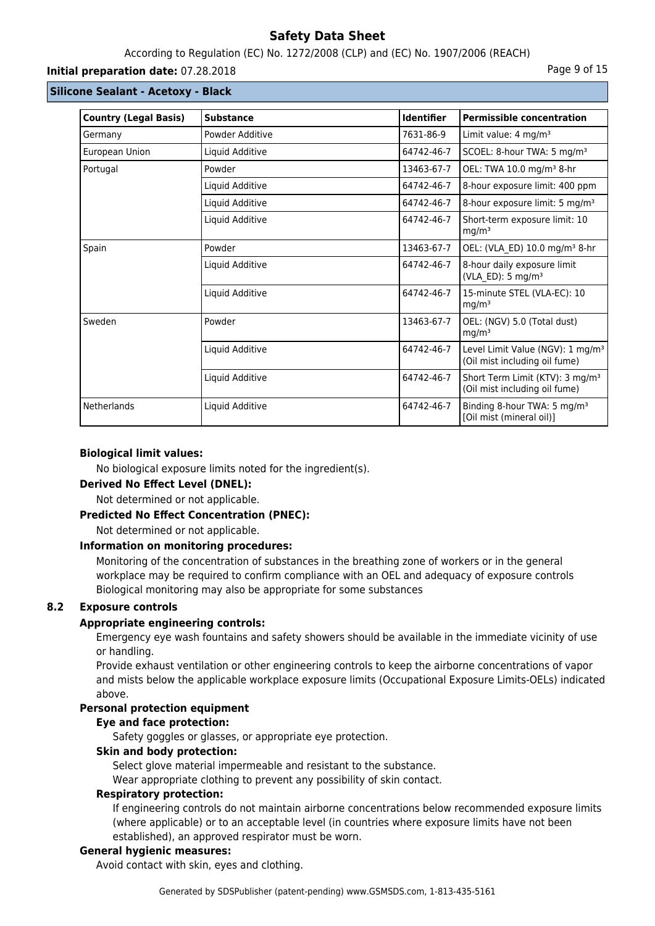# According to Regulation (EC) No. 1272/2008 (CLP) and (EC) No. 1907/2006 (REACH)

## **Initial preparation date:** 07.28.2018 **Page 9 of 15**

## **Silicone Sealant - Acetoxy - Black**

| <b>Country (Legal Basis)</b> | <b>Substance</b> | <b>Identifier</b> | <b>Permissible concentration</b>                                              |
|------------------------------|------------------|-------------------|-------------------------------------------------------------------------------|
| Germany                      | Powder Additive  | 7631-86-9         | Limit value: 4 mg/m <sup>3</sup>                                              |
| European Union               | Liquid Additive  | 64742-46-7        | SCOEL: 8-hour TWA: 5 mg/m <sup>3</sup>                                        |
| Portugal                     | Powder           | 13463-67-7        | OEL: TWA 10.0 mg/m <sup>3</sup> 8-hr                                          |
|                              | Liquid Additive  | 64742-46-7        | 8-hour exposure limit: 400 ppm                                                |
|                              | Liquid Additive  | 64742-46-7        | 8-hour exposure limit: 5 mg/m <sup>3</sup>                                    |
|                              | Liquid Additive  | 64742-46-7        | Short-term exposure limit: 10<br>mg/m <sup>3</sup>                            |
| Spain                        | Powder           | 13463-67-7        | OEL: (VLA ED) 10.0 mg/m <sup>3</sup> 8-hr                                     |
|                              | Liquid Additive  | 64742-46-7        | 8-hour daily exposure limit<br>(VLA_ED): 5 mg/m <sup>3</sup>                  |
|                              | Liquid Additive  | 64742-46-7        | 15-minute STEL (VLA-EC): 10<br>mg/m <sup>3</sup>                              |
| Sweden                       | Powder           | 13463-67-7        | OEL: (NGV) 5.0 (Total dust)<br>mg/m <sup>3</sup>                              |
|                              | Liquid Additive  | 64742-46-7        | Level Limit Value (NGV): 1 mg/m <sup>3</sup><br>(Oil mist including oil fume) |
|                              | Liquid Additive  | 64742-46-7        | Short Term Limit (KTV): 3 mg/m <sup>3</sup><br>(Oil mist including oil fume)  |
| Netherlands                  | Liquid Additive  | 64742-46-7        | Binding 8-hour TWA: 5 mg/m <sup>3</sup><br>[Oil mist (mineral oil)]           |

## **Biological limit values:**

No biological exposure limits noted for the ingredient(s).

### **Derived No Effect Level (DNEL):**

Not determined or not applicable.

## **Predicted No Effect Concentration (PNEC):**

Not determined or not applicable.

## **Information on monitoring procedures:**

Monitoring of the concentration of substances in the breathing zone of workers or in the general workplace may be required to confirm compliance with an OEL and adequacy of exposure controls Biological monitoring may also be appropriate for some substances

# **8.2 Exposure controls**

# **Appropriate engineering controls:**

Emergency eye wash fountains and safety showers should be available in the immediate vicinity of use or handling.

Provide exhaust ventilation or other engineering controls to keep the airborne concentrations of vapor and mists below the applicable workplace exposure limits (Occupational Exposure Limits-OELs) indicated above.

# **Personal protection equipment**

### **Eye and face protection:**

Safety goggles or glasses, or appropriate eye protection.

# **Skin and body protection:**

Select glove material impermeable and resistant to the substance.

Wear appropriate clothing to prevent any possibility of skin contact.

### **Respiratory protection:**

If engineering controls do not maintain airborne concentrations below recommended exposure limits (where applicable) or to an acceptable level (in countries where exposure limits have not been established), an approved respirator must be worn.

## **General hygienic measures:**

Avoid contact with skin, eyes and clothing.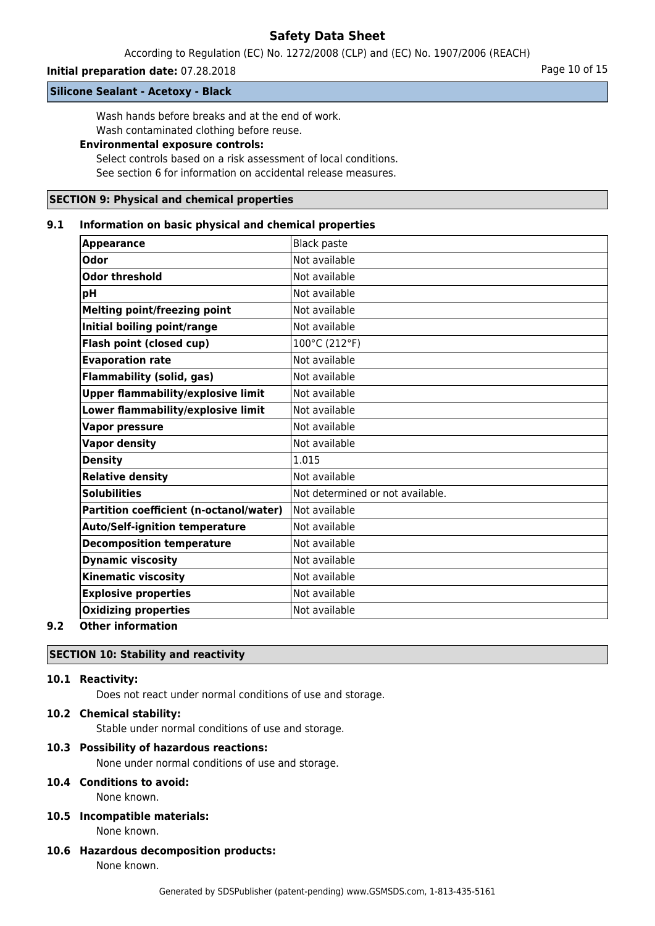According to Regulation (EC) No. 1272/2008 (CLP) and (EC) No. 1907/2006 (REACH)

## **Initial preparation date:** 07.28.2018 **Page 10 of 15** Page 10 of 15

#### **Silicone Sealant - Acetoxy - Black**

Wash hands before breaks and at the end of work. Wash contaminated clothing before reuse.

## **Environmental exposure controls:**

Select controls based on a risk assessment of local conditions. See section 6 for information on accidental release measures.

#### **SECTION 9: Physical and chemical properties**

#### **9.1 Information on basic physical and chemical properties**

| <b>Appearance</b>                                                                                                                                               | <b>Black paste</b>               |
|-----------------------------------------------------------------------------------------------------------------------------------------------------------------|----------------------------------|
| <b>Odor</b>                                                                                                                                                     | Not available                    |
| <b>Odor threshold</b>                                                                                                                                           | Not available                    |
| 'pH                                                                                                                                                             | Not available                    |
| <b>Melting point/freezing point</b>                                                                                                                             | Not available                    |
| Initial boiling point/range                                                                                                                                     | Not available                    |
| Flash point (closed cup)                                                                                                                                        | 100°C (212°F)                    |
| <b>Evaporation rate</b>                                                                                                                                         | Not available                    |
| <b>Flammability (solid, gas)</b>                                                                                                                                | Not available                    |
| <b>Upper flammability/explosive limit</b>                                                                                                                       | Not available                    |
| Lower flammability/explosive limit                                                                                                                              | Not available                    |
| <b>Vapor pressure</b>                                                                                                                                           | Not available                    |
| <b>Vapor density</b>                                                                                                                                            | Not available                    |
| <b>Density</b>                                                                                                                                                  | 1.015                            |
| <b>Relative density</b>                                                                                                                                         | Not available                    |
| <b>Solubilities</b>                                                                                                                                             | Not determined or not available. |
| Partition coefficient (n-octanol/water)                                                                                                                         | Not available                    |
| <b>Auto/Self-ignition temperature</b>                                                                                                                           | Not available                    |
| <b>Decomposition temperature</b>                                                                                                                                | Not available                    |
| <b>Dynamic viscosity</b>                                                                                                                                        | Not available                    |
| <b>Kinematic viscosity</b>                                                                                                                                      | Not available                    |
| <b>Explosive properties</b>                                                                                                                                     | Not available                    |
| <b>Oxidizing properties</b>                                                                                                                                     | Not available                    |
| $\bigcap_{i=1}^{n}$ $\bigcup_{i=1}^{n}$ $\bigcup_{i=1}^{n}$ $\bigcup_{i=1}^{n}$ $\bigcup_{i=1}^{n}$ $\bigcup_{i=1}^{n}$ $\bigcup_{i=1}^{n}$ $\bigcup_{i=1}^{n}$ |                                  |

### **9.2 Other information**

# **SECTION 10: Stability and reactivity**

# **10.1 Reactivity:**

Does not react under normal conditions of use and storage.

## **10.2 Chemical stability:**

Stable under normal conditions of use and storage.

## **10.3 Possibility of hazardous reactions:**

None under normal conditions of use and storage.

# **10.4 Conditions to avoid:**

None known.

# **10.5 Incompatible materials:**

None known.

**10.6 Hazardous decomposition products:** None known.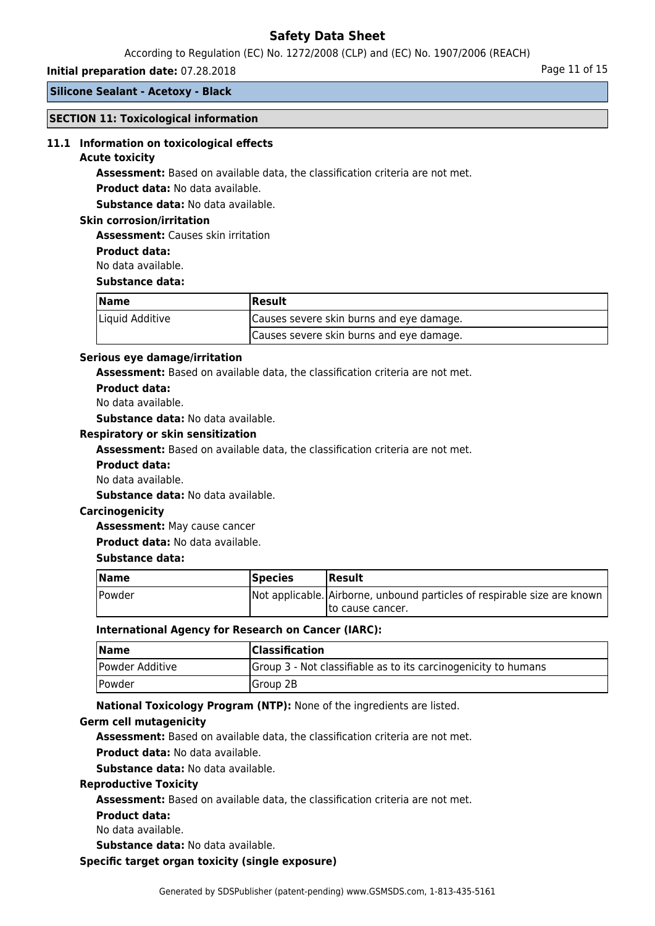According to Regulation (EC) No. 1272/2008 (CLP) and (EC) No. 1907/2006 (REACH)

#### **Initial preparation date:** 07.28.2018 **Page 11 of 15** and the page 11 of 15

**Silicone Sealant - Acetoxy - Black**

## **SECTION 11: Toxicological information**

#### **11.1 Information on toxicological effects**

#### **Acute toxicity**

**Assessment:** Based on available data, the classification criteria are not met.

**Product data:** No data available.

**Substance data:** No data available.

### **Skin corrosion/irritation**

**Assessment:** Causes skin irritation

**Product data:**

No data available.

#### **Substance data:**

| Name            | Result                                   |  |
|-----------------|------------------------------------------|--|
| Liquid Additive | Causes severe skin burns and eye damage. |  |
|                 | Causes severe skin burns and eye damage. |  |

## **Serious eye damage/irritation**

**Assessment:** Based on available data, the classification criteria are not met.

**Product data:**

No data available.

**Substance data:** No data available.

#### **Respiratory or skin sensitization**

**Assessment:** Based on available data, the classification criteria are not met.

- **Product data:**
- No data available.

**Substance data:** No data available.

### **Carcinogenicity**

**Assessment:** May cause cancer

**Product data:** No data available.

### **Substance data:**

| <b>Name</b> | <b>Species</b> | <b> Result</b>                                                           |
|-------------|----------------|--------------------------------------------------------------------------|
| Powder      |                | Not applicable. Airborne, unbound particles of respirable size are known |
|             |                | Ito cause cancer.                                                        |

#### **International Agency for Research on Cancer (IARC):**

| <b>Name</b>                 | <b>Classification</b>                                          |
|-----------------------------|----------------------------------------------------------------|
| Powder Additive             | Group 3 - Not classifiable as to its carcinogenicity to humans |
| <i><u><b>Powder</b></u></i> | Group 2B                                                       |

**National Toxicology Program (NTP):** None of the ingredients are listed.

#### **Germ cell mutagenicity**

**Assessment:** Based on available data, the classification criteria are not met.

**Product data:** No data available.

**Substance data:** No data available.

#### **Reproductive Toxicity**

**Assessment:** Based on available data, the classification criteria are not met.

**Product data:**

No data available.

**Substance data:** No data available.

#### **Specific target organ toxicity (single exposure)**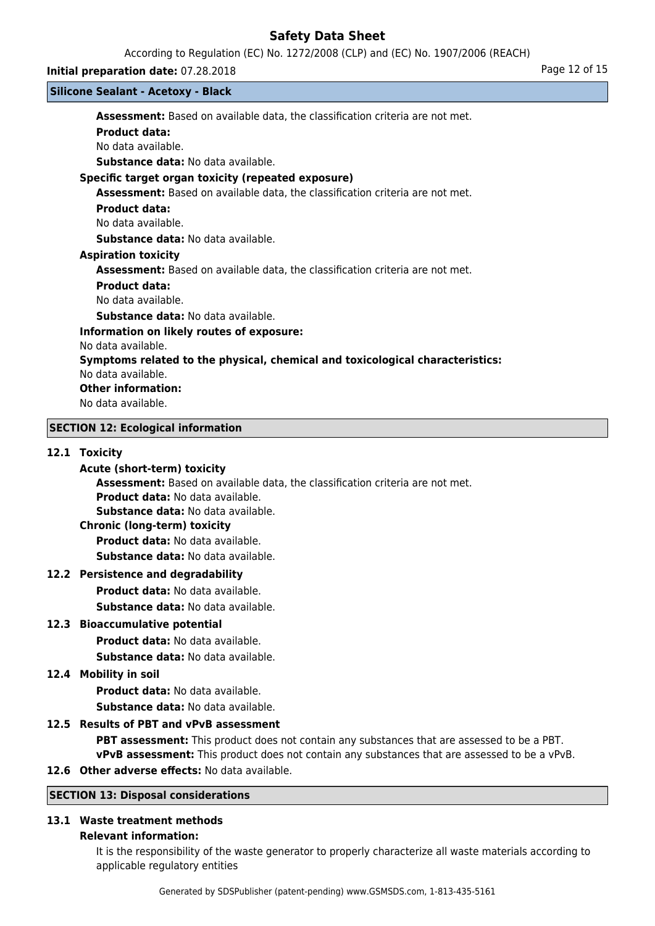According to Regulation (EC) No. 1272/2008 (CLP) and (EC) No. 1907/2006 (REACH)

## **Initial preparation date:** 07.28.2018 **Page 12 of 15**

### **Silicone Sealant - Acetoxy - Black**

**Assessment:** Based on available data, the classification criteria are not met. **Product data:** No data available.

**Substance data:** No data available.

# **Specific target organ toxicity (repeated exposure)**

**Assessment:** Based on available data, the classification criteria are not met.

## **Product data:**

No data available.

**Substance data:** No data available.

## **Aspiration toxicity**

**Assessment:** Based on available data, the classification criteria are not met.

## **Product data:**

No data available.

**Substance data:** No data available.

# **Information on likely routes of exposure:**

No data available.

# **Symptoms related to the physical, chemical and toxicological characteristics:**

No data available.

## **Other information:**

No data available.

# **SECTION 12: Ecological information**

## **12.1 Toxicity**

## **Acute (short-term) toxicity**

**Assessment:** Based on available data, the classification criteria are not met.

**Product data:** No data available.

**Substance data:** No data available.

# **Chronic (long-term) toxicity**

**Product data:** No data available.

**Substance data:** No data available.

# **12.2 Persistence and degradability**

**Product data:** No data available.

**Substance data:** No data available.

# **12.3 Bioaccumulative potential**

**Product data:** No data available.

**Substance data:** No data available.

# **12.4 Mobility in soil**

**Product data:** No data available. **Substance data:** No data available.

# **12.5 Results of PBT and vPvB assessment**

**PBT assessment:** This product does not contain any substances that are assessed to be a PBT. **vPvB assessment:** This product does not contain any substances that are assessed to be a vPvB.

# **12.6 Other adverse effects:** No data available.

# **SECTION 13: Disposal considerations**

# **13.1 Waste treatment methods**

### **Relevant information:**

It is the responsibility of the waste generator to properly characterize all waste materials according to applicable regulatory entities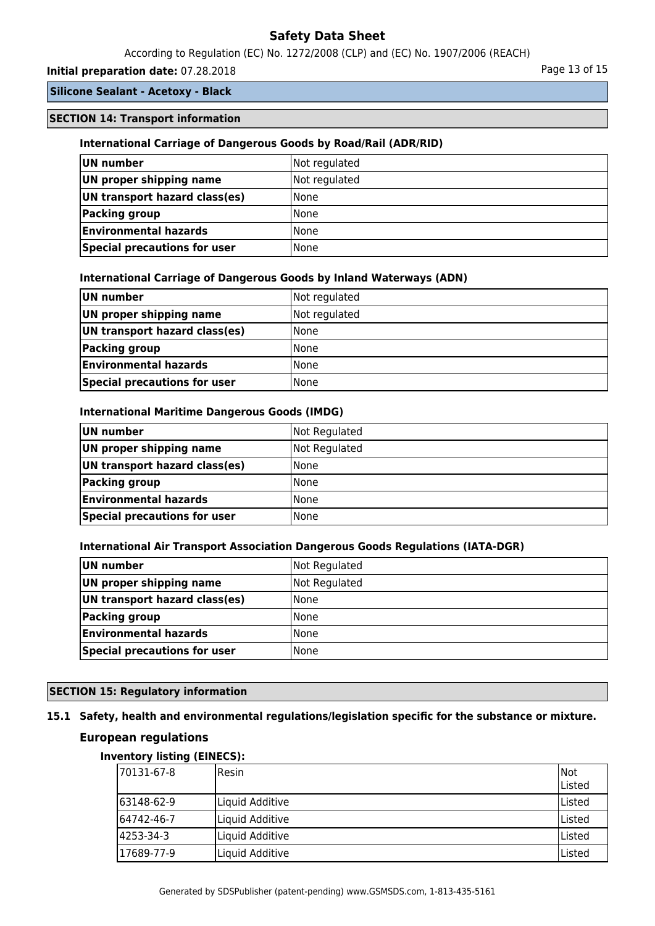According to Regulation (EC) No. 1272/2008 (CLP) and (EC) No. 1907/2006 (REACH)

# **Initial preparation date:** 07.28.2018 **Page 13 of 15** Page 13 of 15

# **Silicone Sealant - Acetoxy - Black**

## **SECTION 14: Transport information**

## **International Carriage of Dangerous Goods by Road/Rail (ADR/RID)**

| UN number                     | Not regulated |
|-------------------------------|---------------|
| UN proper shipping name       | Not regulated |
| UN transport hazard class(es) | <b>None</b>   |
| Packing group                 | <b>None</b>   |
| <b>Environmental hazards</b>  | <b>None</b>   |
| Special precautions for user  | l None        |

### **International Carriage of Dangerous Goods by Inland Waterways (ADN)**

| UN number                     | Not regulated |
|-------------------------------|---------------|
| UN proper shipping name       | Not regulated |
| UN transport hazard class(es) | <b>None</b>   |
| Packing group                 | <b>None</b>   |
| <b>Environmental hazards</b>  | <b>None</b>   |
| Special precautions for user  | l None        |

### **International Maritime Dangerous Goods (IMDG)**

| UN number                     | Not Regulated |
|-------------------------------|---------------|
| UN proper shipping name       | Not Regulated |
| UN transport hazard class(es) | <b>None</b>   |
| Packing group                 | None          |
| <b>Environmental hazards</b>  | None          |
| Special precautions for user  | <b>None</b>   |

### **International Air Transport Association Dangerous Goods Regulations (IATA-DGR)**

| UN number                     | Not Regulated |
|-------------------------------|---------------|
| UN proper shipping name       | Not Regulated |
| UN transport hazard class(es) | l None        |
| <b>Packing group</b>          | l None        |
| <b>Environmental hazards</b>  | l None        |
| Special precautions for user  | None          |

# **SECTION 15: Regulatory information**

# **15.1 Safety, health and environmental regulations/legislation specific for the substance or mixture.**

# **European regulations**

## **Inventory listing (EINECS):**

| 170131-67-8 | <b>I</b> Resin  | Not<br>lListed |
|-------------|-----------------|----------------|
| 163148-62-9 | Liquid Additive | Listed         |
| 164742-46-7 | Liquid Additive | Listed         |
| 4253-34-3   | Liquid Additive | ا Listed       |
| 17689-77-9  | Liquid Additive | Listed         |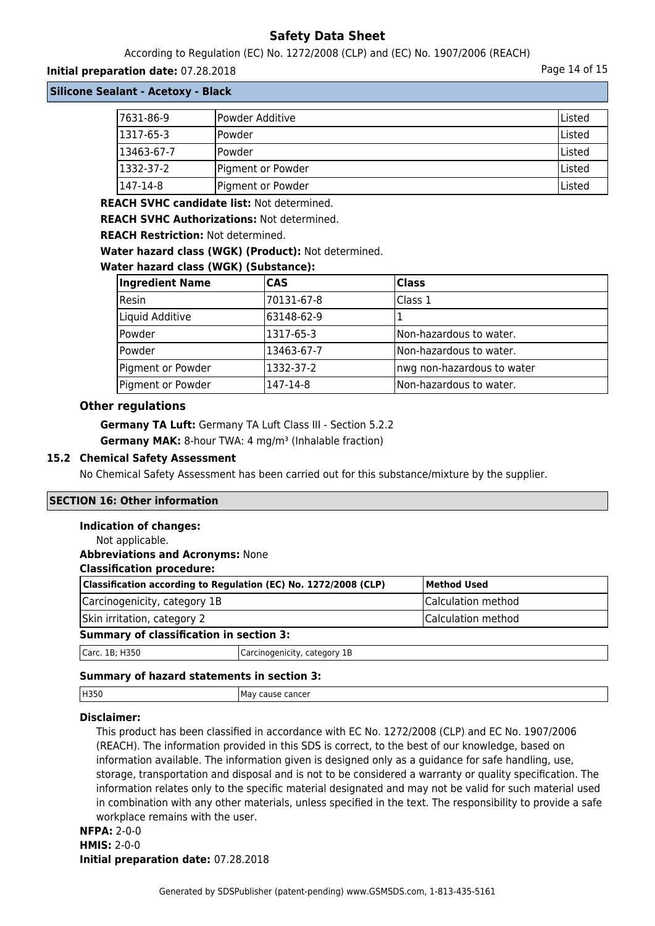According to Regulation (EC) No. 1272/2008 (CLP) and (EC) No. 1907/2006 (REACH)

## **Initial preparation date:** 07.28.2018 **Page 14 of 15**

**Silicone Sealant - Acetoxy - Black**

| 7631-86-9  | Powder Additive   | Listed         |
|------------|-------------------|----------------|
| 1317-65-3  | lPowder           | <b>IListed</b> |
| 13463-67-7 | lPowder           | lListed        |
| 1332-37-2  | Pigment or Powder | <b>IListed</b> |
| 1147-14-8  | Pigment or Powder | Listed         |

**REACH SVHC candidate list:** Not determined.

**REACH SVHC Authorizations:** Not determined.

**REACH Restriction:** Not determined.

**Water hazard class (WGK) (Product):** Not determined.

## **Water hazard class (WGK) (Substance):**

| <b>Ingredient Name</b> | <b>CAS</b> | <b>Class</b>               |
|------------------------|------------|----------------------------|
| Resin                  | 70131-67-8 | Class 1                    |
| Liquid Additive        | 63148-62-9 |                            |
| Powder                 | 1317-65-3  | Non-hazardous to water.    |
| Powder                 | 13463-67-7 | Non-hazardous to water.    |
| Pigment or Powder      | 1332-37-2  | nwg non-hazardous to water |
| Pigment or Powder      | 147-14-8   | Non-hazardous to water.    |

## **Other regulations**

**Germany TA Luft:** Germany TA Luft Class III - Section 5.2.2 **Germany MAK:** 8-hour TWA: 4 mg/m<sup>3</sup> (Inhalable fraction)

## **15.2 Chemical Safety Assessment**

No Chemical Safety Assessment has been carried out for this substance/mixture by the supplier.

## **SECTION 16: Other information**

### **Indication of changes:**

| Not applicable.                                                 |                              |                    |
|-----------------------------------------------------------------|------------------------------|--------------------|
| <b>Abbreviations and Acronyms: None</b>                         |                              |                    |
| <b>Classification procedure:</b>                                |                              |                    |
| Classification according to Regulation (EC) No. 1272/2008 (CLP) |                              | <b>Method Used</b> |
| Carcinogenicity, category 1B                                    |                              | Calculation method |
| Skin irritation, category 2                                     |                              | Calculation method |
| <b>Summary of classification in section 3:</b>                  |                              |                    |
| Carc. 1B; H350                                                  | Carcinogenicity, category 1B |                    |
|                                                                 |                              |                    |

# **Summary of hazard statements in section 3:**

| H350 | cause cancer<br>ма<br>$\cdot$ |
|------|-------------------------------|
|      |                               |

# **Disclaimer:**

This product has been classified in accordance with EC No. 1272/2008 (CLP) and EC No. 1907/2006 (REACH). The information provided in this SDS is correct, to the best of our knowledge, based on information available. The information given is designed only as a guidance for safe handling, use, storage, transportation and disposal and is not to be considered a warranty or quality specification. The information relates only to the specific material designated and may not be valid for such material used in combination with any other materials, unless specified in the text. The responsibility to provide a safe workplace remains with the user.

# **NFPA:** 2-0-0 **HMIS:** 2-0-0 **Initial preparation date:** 07.28.2018